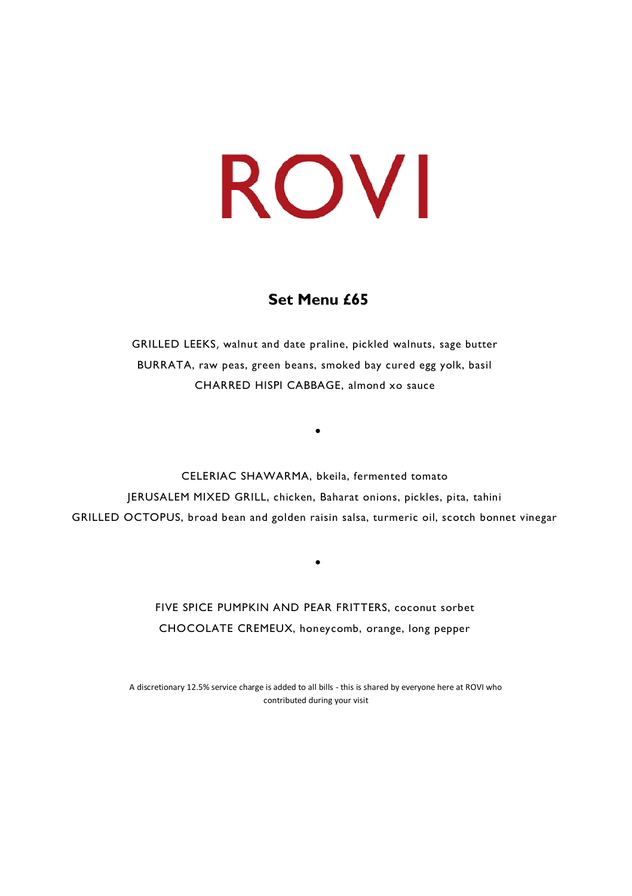## **Set Menu £65**

GRILLED LEEKS, walnut and date praline, pickled walnuts, sage butter BURRATA, raw peas, green beans, smoked bay cured egg yolk, basil CHARRED HISPI CABBAGE, almond xo sauce

•

CELERIAC SHAWARMA, bkeila, fermented tomato JERUSALEM MIXED GRILL, chicken, Baharat onions, pickles, pita, tahini GRILLED OCTOPUS, broad bean and golden raisin salsa, turmeric oil, scotch bonnet vinegar

> FIVE SPICE PUMPKIN AND PEAR FRITTERS, coconut sorbet CHOCOLATE CREMEUX, honeycomb, orange, long pepper

•

A discretionary 12.5% service charge is added to all bills - this is shared by everyone here at ROVI who contributed during your visit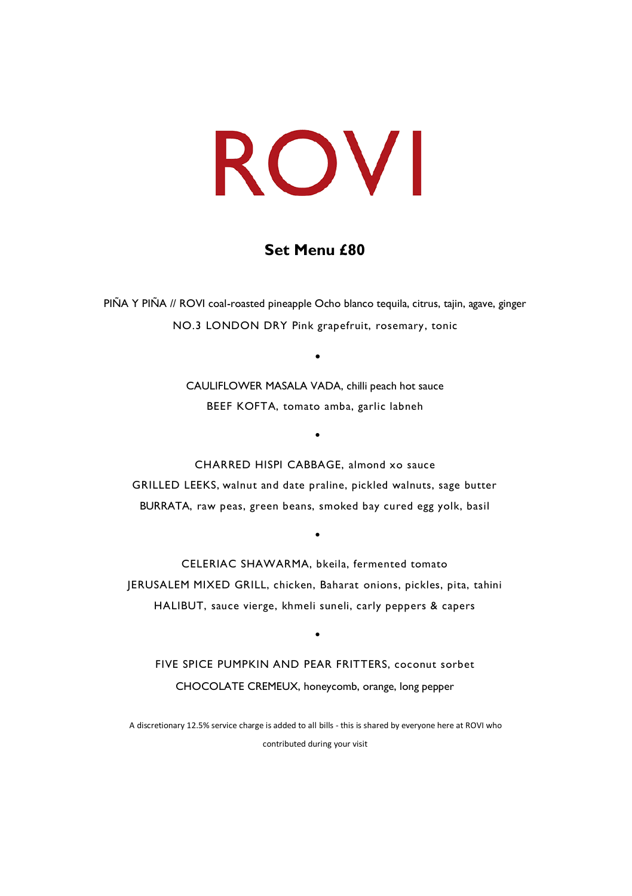## **Set Menu £80**

PIÑA Y PIÑA // ROVI coal-roasted pineapple Ocho blanco tequila, citrus, tajin, agave, ginger NO.3 LONDON DRY Pink grapefruit, rosemary, tonic

> CAULIFLOWER MASALA VADA, chilli peach hot sauce BEEF KOFTA, tomato amba, garlic labneh

> > •

•

CHARRED HISPI CABBAGE, almond xo sauce GRILLED LEEKS, walnut and date praline, pickled walnuts, sage butter BURRATA, raw peas, green beans, smoked bay cured egg yolk, basil

•

CELERIAC SHAWARMA, bkeila, fermented tomato JERUSALEM MIXED GRILL, chicken, Baharat onions, pickles, pita, tahini HALIBUT, sauce vierge, khmeli suneli, carly peppers & capers

FIVE SPICE PUMPKIN AND PEAR FRITTERS, coconut sorbet CHOCOLATE CREMEUX, honeycomb, orange, long pepper

•

A discretionary 12.5% service charge is added to all bills - this is shared by everyone here at ROVI who contributed during your visit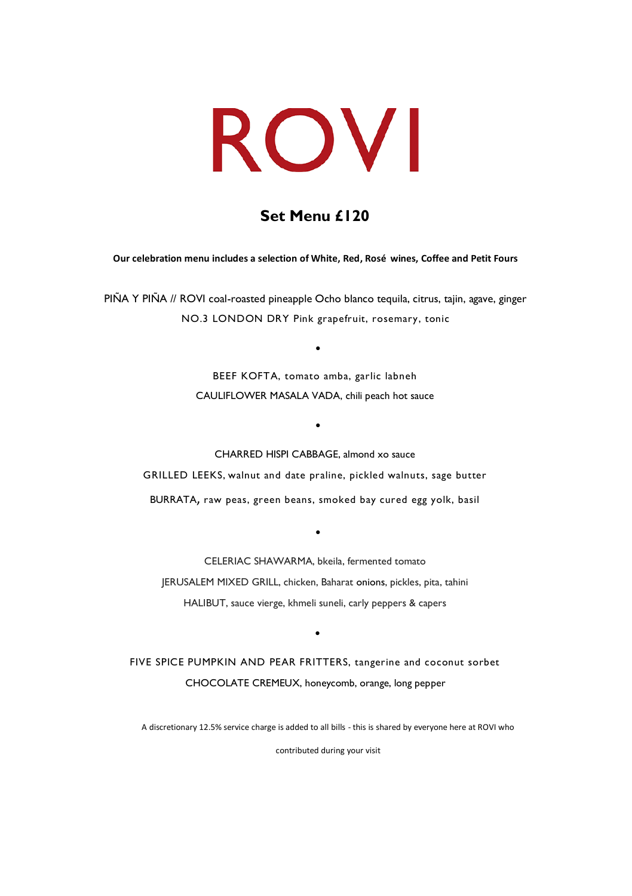## **Set Menu £120**

### **Our celebration menu includes a selection of White, Red, Rosé wines, Coffee and Petit Fours**

PIÑA Y PIÑA // ROVI coal-roasted pineapple Ocho blanco tequila, citrus, tajin, agave, ginger NO.3 LONDON DRY Pink grapefruit, rosemary, tonic

> BEEF KOFTA, tomato amba, garlic labneh CAULIFLOWER MASALA VADA, chili peach hot sauce

> > •

•

CHARRED HISPI CABBAGE, almond xo sauce GRILLED LEEKS, walnut and date praline, pickled walnuts, sage butter BURRATA, raw peas, green beans, smoked bay cured egg yolk, basil

CELERIAC SHAWARMA, bkeila, fermented tomato JERUSALEM MIXED GRILL, chicken, Baharat onions, pickles, pita, tahini HALIBUT, sauce vierge, khmeli suneli, carly peppers & capers

•

FIVE SPICE PUMPKIN AND PEAR FRITTERS, tangerine and coconut sorbet CHOCOLATE CREMEUX, honeycomb, orange, long pepper

•

A discretionary 12.5% service charge is added to all bills - this is shared by everyone here at ROVI who

contributed during your visit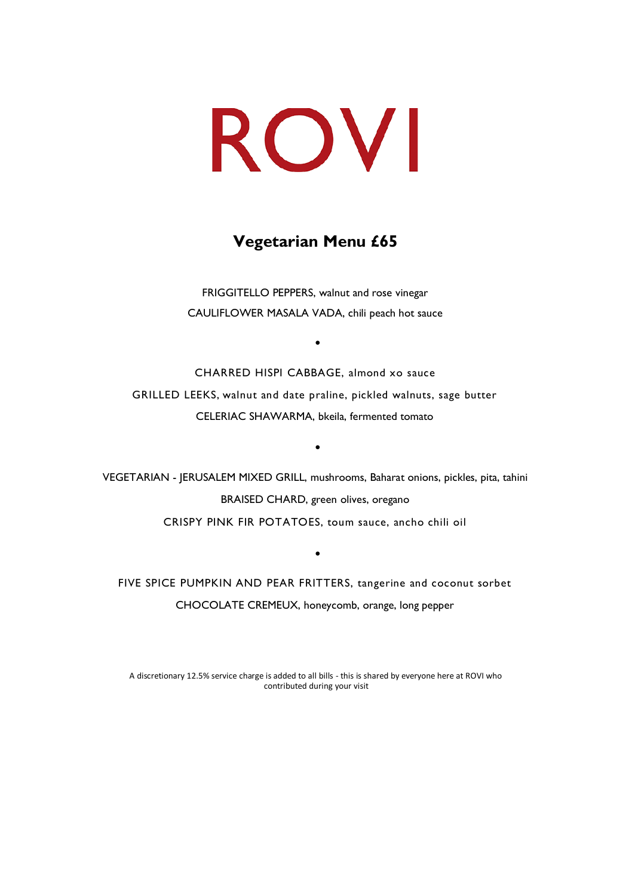## **Vegetarian Menu £65**

FRIGGITELLO PEPPERS, walnut and rose vinegar CAULIFLOWER MASALA VADA, chili peach hot sauce

•

CHARRED HISPI CABBAGE, almond xo sauce GRILLED LEEKS, walnut and date praline, pickled walnuts, sage butter CELERIAC SHAWARMA, bkeila, fermented tomato

•

VEGETARIAN - JERUSALEM MIXED GRILL, mushrooms, Baharat onions, pickles, pita, tahini BRAISED CHARD, green olives, oregano CRISPY PINK FIR POTATOES, toum sauce, ancho chili oil

FIVE SPICE PUMPKIN AND PEAR FRITTERS, tangerine and coconut sorbet CHOCOLATE CREMEUX, honeycomb, orange, long pepper

•

A discretionary 12.5% service charge is added to all bills - this is shared by everyone here at ROVI who contributed during your visit